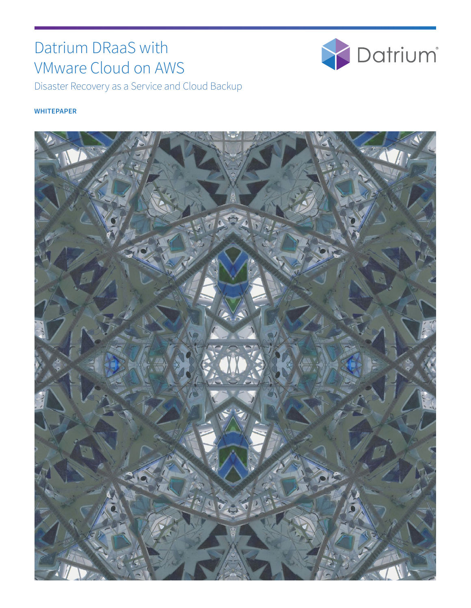# Datrium DRaaS with VMware Cloud on AWS



Disaster Recovery as a Service and Cloud Backup

#### **WHITEPAPER**

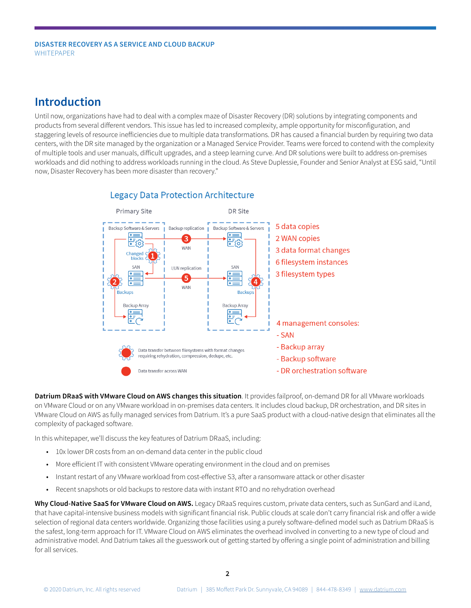## **Introduction**

Until now, organizations have had to deal with a complex maze of Disaster Recovery (DR) solutions by integrating components and products from several different vendors. This issue has led to increased complexity, ample opportunity for misconfiguration, and staggering levels of resource inefficiencies due to multiple data transformations. DR has caused a financial burden by requiring two data centers, with the DR site managed by the organization or a Managed Service Provider. Teams were forced to contend with the complexity of multiple tools and user manuals, difficult upgrades, and a steep learning curve. And DR solutions were built to address on-premises workloads and did nothing to address workloads running in the cloud. As Steve Duplessie, Founder and Senior Analyst at ESG said, "Until now, Disaster Recovery has been more disaster than recovery."



#### **Legacy Data Protection Architecture**

**Datrium DRaaS with VMware Cloud on AWS changes this situation**. It provides failproof, on-demand DR for all VMware workloads on VMware Cloud or on any VMware workload in on-premises data centers. It includes cloud backup, DR orchestration, and DR sites in VMware Cloud on AWS as fully managed services from Datrium. It's a pure SaaS product with a cloud-native design that eliminates all the complexity of packaged software.

In this whitepaper, we'll discuss the key features of Datrium DRaaS, including:

- 10x lower DR costs from an on-demand data center in the public cloud
- More efficient IT with consistent VMware operating environment in the cloud and on premises
- Instant restart of any VMware workload from cost-effective S3, after a ransomware attack or other disaster
- Recent snapshots or old backups to restore data with instant RTO and no rehydration overhead

**Why Cloud-Native SaaS for VMware Cloud on AWS.** Legacy DRaaS requires custom, private data centers, such as SunGard and iLand, that have capital-intensive business models with significant financial risk. Public clouds at scale don't carry financial risk and offer a wide selection of regional data centers worldwide. Organizing those facilities using a purely software-defined model such as Datrium DRaaS is the safest, long-term approach for IT. VMware Cloud on AWS eliminates the overhead involved in converting to a new type of cloud and administrative model. And Datrium takes all the guesswork out of getting started by offering a single point of administration and billing for all services.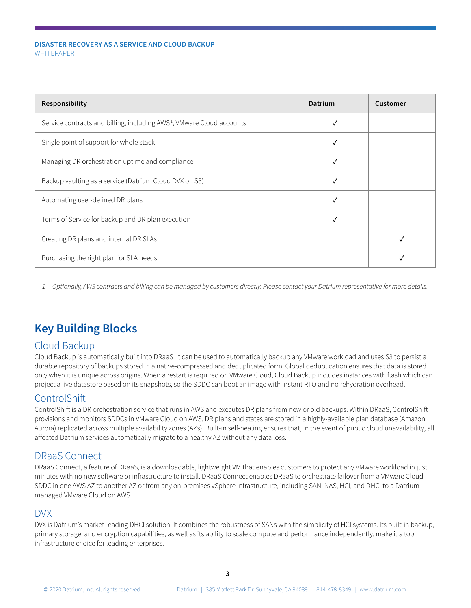| Responsibility                                                                    | Datrium    | Customer |
|-----------------------------------------------------------------------------------|------------|----------|
| Service contracts and billing, including AWS <sup>1</sup> , VMware Cloud accounts |            |          |
| Single point of support for whole stack                                           |            |          |
| Managing DR orchestration uptime and compliance                                   |            |          |
| Backup vaulting as a service (Datrium Cloud DVX on S3)                            | $\sqrt{ }$ |          |
| Automating user-defined DR plans                                                  |            |          |
| Terms of Service for backup and DR plan execution                                 |            |          |
| Creating DR plans and internal DR SLAs                                            |            |          |
| Purchasing the right plan for SLA needs                                           |            |          |

*1 Optionally, AWS contracts and billing can be managed by customers directly. Please contact your Datrium representative for more details.*

## **Key Building Blocks**

### Cloud Backup

Cloud Backup is automatically built into DRaaS. It can be used to automatically backup any VMware workload and uses S3 to persist a durable repository of backups stored in a native-compressed and deduplicated form. Global deduplication ensures that data is stored only when it is unique across origins. When a restart is required on VMware Cloud, Cloud Backup includes instances with flash which can project a live datastore based on its snapshots, so the SDDC can boot an image with instant RTO and no rehydration overhead.

### **ControlShift**

ControlShift is a DR orchestration service that runs in AWS and executes DR plans from new or old backups. Within DRaaS, ControlShift provisions and monitors SDDCs in VMware Cloud on AWS. DR plans and states are stored in a highly-available plan database (Amazon Aurora) replicated across multiple availability zones (AZs). Built-in self-healing ensures that, in the event of public cloud unavailability, all affected Datrium services automatically migrate to a healthy AZ without any data loss.

### DRaaS Connect

DRaaS Connect, a feature of DRaaS, is a downloadable, lightweight VM that enables customers to protect any VMware workload in just minutes with no new software or infrastructure to install. DRaaS Connect enables DRaaS to orchestrate failover from a VMware Cloud SDDC in one AWS AZ to another AZ or from any on-premises vSphere infrastructure, including SAN, NAS, HCI, and DHCI to a Datriummanaged VMware Cloud on AWS.

#### DVX

DVX is Datrium's market-leading DHCI solution. It combines the robustness of SANs with the simplicity of HCI systems. Its built-in backup, primary storage, and encryption capabilities, as well as its ability to scale compute and performance independently, make it a top infrastructure choice for leading enterprises.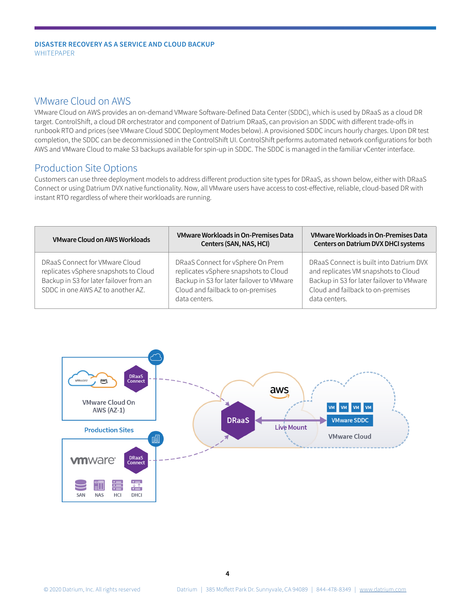#### VMware Cloud on AWS

VMware Cloud on AWS provides an on-demand VMware Software-Defined Data Center (SDDC), which is used by DRaaS as a cloud DR target. ControlShift, a cloud DR orchestrator and component of Datrium DRaaS, can provision an SDDC with different trade-offs in runbook RTO and prices (see VMware Cloud SDDC Deployment Modes below). A provisioned SDDC incurs hourly charges. Upon DR test completion, the SDDC can be decommissioned in the ControlShift UI. ControlShift performs automated network configurations for both AWS and VMware Cloud to make S3 backups available for spin-up in SDDC. The SDDC is managed in the familiar vCenter interface.

### Production Site Options

Customers can use three deployment models to address different production site types for DRaaS, as shown below, either with DRaaS Connect or using Datrium DVX native functionality. Now, all VMware users have access to cost-effective, reliable, cloud-based DR with instant RTO regardless of where their workloads are running.

| <b>VMware Cloud on AWS Workloads</b>                                                                                                                    | VMware Workloads in On-Premises Data<br>Centers (SAN, NAS, HCI)                                                                                                               | <b>VMware Workloads in On-Premises Data</b><br><b>Centers on Datrium DVX DHCI systems</b>                                                                                          |
|---------------------------------------------------------------------------------------------------------------------------------------------------------|-------------------------------------------------------------------------------------------------------------------------------------------------------------------------------|------------------------------------------------------------------------------------------------------------------------------------------------------------------------------------|
| DRaaS Connect for VMware Cloud<br>replicates vSphere snapshots to Cloud<br>Backup in S3 for later failover from an<br>SDDC in one AWS AZ to another AZ. | DRaaS Connect for vSphere On Prem<br>replicates vSphere snapshots to Cloud<br>Backup in S3 for later failover to VMware<br>Cloud and failback to on-premises<br>data centers. | DRaaS Connect is built into Datrium DVX<br>and replicates VM snapshots to Cloud<br>Backup in S3 for later failover to VMware<br>Cloud and failback to on-premises<br>data centers. |

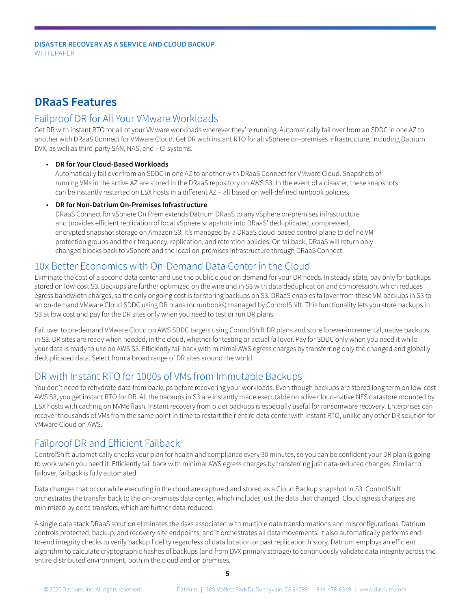## **DRaaS Features**

#### Failproof DR for All Your VMware Workloads

Get DR with instant RTO for all of your VMware workloads wherever they're running. Automatically fail over from an SDDC in one AZ to another with DRaaS Connect for VMware Cloud. Get DR with instant RTO for all vSphere on-premises infrastructure, including Datrium DVX, as well as third-party SAN, NAS, and HCI systems.

#### • **DR for Your Cloud-Based Workloads**

Automatically fail over from an SDDC in one AZ to another with DRaaS Connect for VMware Cloud. Snapshots of running VMs in the active AZ are stored in the DRaaS repository on AWS S3. In the event of a disaster, these snapshots can be instantly restarted on ESX hosts in a different AZ – all based on well-defined runbook policies.

#### • **DR for Non-Datrium On-Premises Infrastructure**

DRaaS Connect for vSphere On Prem extends Datrium DRaaS to any vSphere on-premises infrastructure and provides efficient replication of local vSphere snapshots into DRaaS' deduplicated, compressed, encrypted snapshot storage on Amazon S3. It's managed by a DRaaS cloud-based control plane to define VM protection groups and their frequency, replication, and retention policies. On failback, DRaaS will return only changed blocks back to vSphere and the local on-premises infrastructure through DRaaS Connect.

### 10x Better Economics with On-Demand Data Center in the Cloud

Eliminate the cost of a second data center and use the public cloud on demand for your DR needs. In steady-state, pay only for backups stored on low-cost S3. Backups are further optimized on the wire and in S3 with data deduplication and compression, which reduces egress bandwidth charges, so the only ongoing cost is for storing backups on S3. DRaaS enables failover from these VM backups in S3 to an on-demand VMware Cloud SDDC using DR plans (or runbooks) managed by ControlShift. This functionality lets you store backups in S3 at low cost and pay for the DR sites only when you need to test or run DR plans.

Fail over to on-demand VMware Cloud on AWS SDDC targets using ControlShift DR plans and store forever-incremental, native backups in S3. DR sites are ready when needed, in the cloud, whether for testing or actual failover. Pay for SDDC only when you need it while your data is ready to use on AWS S3. Efficiently fail back with minimal AWS egress charges by transferring only the changed and globally deduplicated data. Select from a broad range of DR sites around the world.

### DR with Instant RTO for 1000s of VMs from Immutable Backups

You don't need to rehydrate data from backups before recovering your workloads. Even though backups are stored long term on low-cost AWS S3, you get instant RTO for DR. All the backups in S3 are instantly made executable on a live cloud-native NFS datastore mounted by ESX hosts with caching on NVMe flash. Instant recovery from older backups is especially useful for ransomware recovery. Enterprises can recover thousands of VMs from the same point in time to restart their entire data center with instant RTO, unlike any other DR solution for VMware Cloud on AWS.

### Failproof DR and Efficient Failback

ControlShift automatically checks your plan for health and compliance every 30 minutes, so you can be confident your DR plan is going to work when you need it. Efficiently fail back with minimal AWS egress charges by transferring just data-reduced changes. Similar to failover, failback is fully automated.

Data changes that occur while executing in the cloud are captured and stored as a Cloud Backup snapshot in S3. ControlShift orchestrates the transfer back to the on-premises data center, which includes just the data that changed. Cloud egress charges are minimized by delta transfers, which are further data-reduced.

A single data stack DRaaS solution eliminates the risks associated with multiple data transformations and misconfigurations. Datrium controls protected, backup, and recovery-site endpoints, and it orchestrates all data movements. It also automatically performs endto-end integrity checks to verify backup fidelity regardless of data location or past replication history. Datrium employs an efficient algorithm to calculate cryptographic hashes of backups (and from DVX primary storage) to continuously validate data integrity across the entire distributed environment, both in the cloud and on premises.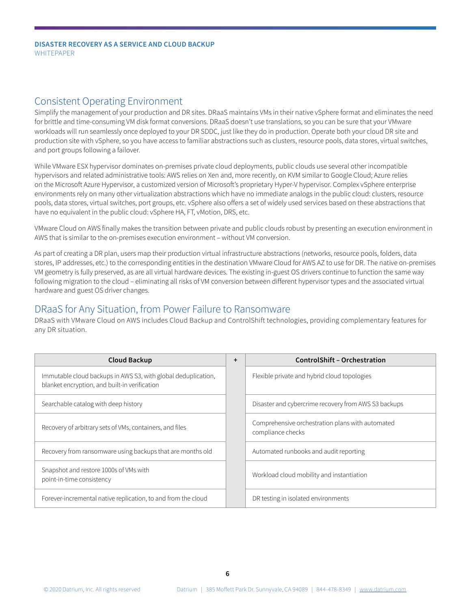#### Consistent Operating Environment

Simplify the management of your production and DR sites. DRaaS maintains VMs in their native vSphere format and eliminates the need for brittle and time-consuming VM disk format conversions. DRaaS doesn't use translations, so you can be sure that your VMware workloads will run seamlessly once deployed to your DR SDDC, just like they do in production. Operate both your cloud DR site and production site with vSphere, so you have access to familiar abstractions such as clusters, resource pools, data stores, virtual switches, and port groups following a failover.

While VMware ESX hypervisor dominates on-premises private cloud deployments, public clouds use several other incompatible hypervisors and related administrative tools: AWS relies on Xen and, more recently, on KVM similar to Google Cloud; Azure relies on the Microsoft Azure Hypervisor, a customized version of Microsoft's proprietary Hyper-V hypervisor. Complex vSphere enterprise environments rely on many other virtualization abstractions which have no immediate analogs in the public cloud: clusters, resource pools, data stores, virtual switches, port groups, etc. vSphere also offers a set of widely used services based on these abstractions that have no equivalent in the public cloud: vSphere HA, FT, vMotion, DRS, etc.

VMware Cloud on AWS finally makes the transition between private and public clouds robust by presenting an execution environment in AWS that is similar to the on-premises execution environment – without VM conversion.

As part of creating a DR plan, users map their production virtual infrastructure abstractions (networks, resource pools, folders, data stores, IP addresses, etc.) to the corresponding entities in the destination VMware Cloud for AWS AZ to use for DR. The native on-premises VM geometry is fully preserved, as are all virtual hardware devices. The existing in-guest OS drivers continue to function the same way following migration to the cloud – eliminating all risks of VM conversion between different hypervisor types and the associated virtual hardware and guest OS driver changes.

### DRaaS for Any Situation, from Power Failure to Ransomware

DRaaS with VMware Cloud on AWS includes Cloud Backup and ControlShift technologies, providing complementary features for any DR situation.

| <b>Cloud Backup</b>                                                                                            | $\ddot{}$ | <b>ControlShift - Orchestration</b>                                   |
|----------------------------------------------------------------------------------------------------------------|-----------|-----------------------------------------------------------------------|
| Immutable cloud backups in AWS S3, with global deduplication,<br>blanket encryption, and built-in verification |           | Flexible private and hybrid cloud topologies                          |
| Searchable catalog with deep history                                                                           |           | Disaster and cybercrime recovery from AWS S3 backups                  |
| Recovery of arbitrary sets of VMs, containers, and files                                                       |           | Comprehensive orchestration plans with automated<br>compliance checks |
| Recovery from ransomware using backups that are months old                                                     |           | Automated runbooks and audit reporting                                |
| Snapshot and restore 1000s of VMs with<br>point-in-time consistency                                            |           | Workload cloud mobility and instantiation                             |
| Forever-incremental native replication, to and from the cloud                                                  |           | DR testing in isolated environments                                   |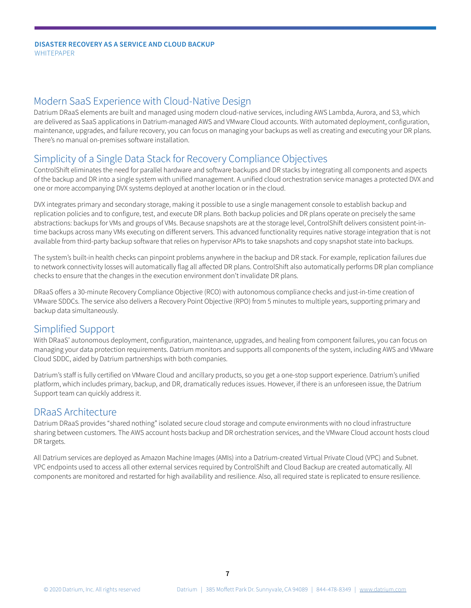#### Modern SaaS Experience with Cloud-Native Design

Datrium DRaaS elements are built and managed using modern cloud-native services, including AWS Lambda, Aurora, and S3, which are delivered as SaaS applications in Datrium-managed AWS and VMware Cloud accounts. With automated deployment, configuration, maintenance, upgrades, and failure recovery, you can focus on managing your backups as well as creating and executing your DR plans. There's no manual on-premises software installation.

### Simplicity of a Single Data Stack for Recovery Compliance Objectives

ControlShift eliminates the need for parallel hardware and software backups and DR stacks by integrating all components and aspects of the backup and DR into a single system with unified management. A unified cloud orchestration service manages a protected DVX and one or more accompanying DVX systems deployed at another location or in the cloud.

DVX integrates primary and secondary storage, making it possible to use a single management console to establish backup and replication policies and to configure, test, and execute DR plans. Both backup policies and DR plans operate on precisely the same abstractions: backups for VMs and groups of VMs. Because snapshots are at the storage level, ControlShift delivers consistent point-intime backups across many VMs executing on different servers. This advanced functionality requires native storage integration that is not available from third-party backup software that relies on hypervisor APIs to take snapshots and copy snapshot state into backups.

The system's built-in health checks can pinpoint problems anywhere in the backup and DR stack. For example, replication failures due to network connectivity losses will automatically flag all affected DR plans. ControlShift also automatically performs DR plan compliance checks to ensure that the changes in the execution environment don't invalidate DR plans.

DRaaS offers a 30-minute Recovery Compliance Objective (RCO) with autonomous compliance checks and just-in-time creation of VMware SDDCs. The service also delivers a Recovery Point Objective (RPO) from 5 minutes to multiple years, supporting primary and backup data simultaneously.

#### Simplified Support

With DRaaS' autonomous deployment, configuration, maintenance, upgrades, and healing from component failures, you can focus on managing your data protection requirements. Datrium monitors and supports all components of the system, including AWS and VMware Cloud SDDC, aided by Datrium partnerships with both companies.

Datrium's staff is fully certified on VMware Cloud and ancillary products, so you get a one-stop support experience. Datrium's unified platform, which includes primary, backup, and DR, dramatically reduces issues. However, if there is an unforeseen issue, the Datrium Support team can quickly address it.

#### DRaaS Architecture

Datrium DRaaS provides "shared nothing" isolated secure cloud storage and compute environments with no cloud infrastructure sharing between customers. The AWS account hosts backup and DR orchestration services, and the VMware Cloud account hosts cloud DR targets.

All Datrium services are deployed as Amazon Machine Images (AMIs) into a Datrium-created Virtual Private Cloud (VPC) and Subnet. VPC endpoints used to access all other external services required by ControlShift and Cloud Backup are created automatically. All components are monitored and restarted for high availability and resilience. Also, all required state is replicated to ensure resilience.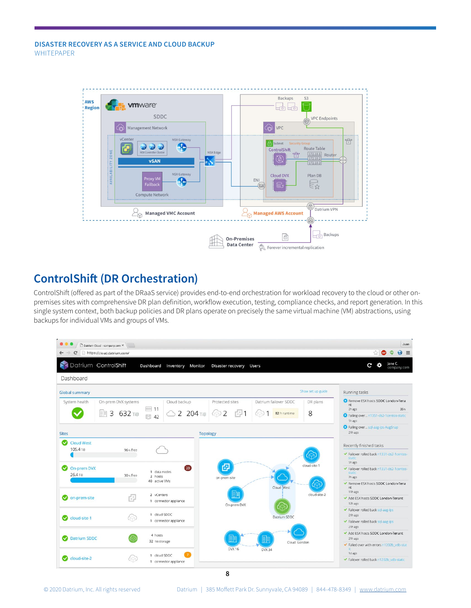

## **ControlShift (DR Orchestration)**

ControlShift (offered as part of the DRaaS service) provides end-to-end orchestration for workload recovery to the cloud or other onpremises sites with comprehensive DR plan definition, workflow execution, testing, compliance checks, and report generation. In this single system context, both backup policies and DR plans operate on precisely the same virtual machine (VM) abstractions, using backups for individual VMs and groups of VMs.



**8**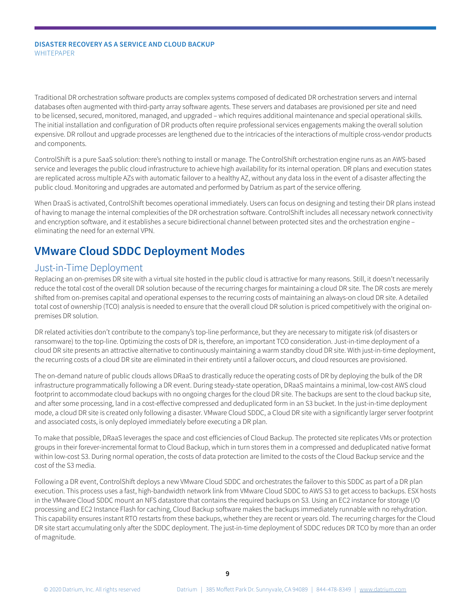Traditional DR orchestration software products are complex systems composed of dedicated DR orchestration servers and internal databases often augmented with third-party array software agents. These servers and databases are provisioned per site and need to be licensed, secured, monitored, managed, and upgraded – which requires additional maintenance and special operational skills. The initial installation and configuration of DR products often require professional services engagements making the overall solution expensive. DR rollout and upgrade processes are lengthened due to the intricacies of the interactions of multiple cross-vendor products and components.

ControlShift is a pure SaaS solution: there's nothing to install or manage. The ControlShift orchestration engine runs as an AWS-based service and leverages the public cloud infrastructure to achieve high availability for its internal operation. DR plans and execution states are replicated across multiple AZs with automatic failover to a healthy AZ, without any data loss in the event of a disaster affecting the public cloud. Monitoring and upgrades are automated and performed by Datrium as part of the service offering.

When DraaS is activated, ControlShift becomes operational immediately. Users can focus on designing and testing their DR plans instead of having to manage the internal complexities of the DR orchestration software. ControlShift includes all necessary network connectivity and encryption software, and it establishes a secure bidirectional channel between protected sites and the orchestration engine – eliminating the need for an external VPN.

## **VMware Cloud SDDC Deployment Modes**

#### Just-in-Time Deployment

Replacing an on-premises DR site with a virtual site hosted in the public cloud is attractive for many reasons. Still, it doesn't necessarily reduce the total cost of the overall DR solution because of the recurring charges for maintaining a cloud DR site. The DR costs are merely shifted from on-premises capital and operational expenses to the recurring costs of maintaining an always-on cloud DR site. A detailed total cost of ownership (TCO) analysis is needed to ensure that the overall cloud DR solution is priced competitively with the original onpremises DR solution.

DR related activities don't contribute to the company's top-line performance, but they are necessary to mitigate risk (of disasters or ransomware) to the top-line. Optimizing the costs of DR is, therefore, an important TCO consideration. Just-in-time deployment of a cloud DR site presents an attractive alternative to continuously maintaining a warm standby cloud DR site. With just-in-time deployment, the recurring costs of a cloud DR site are eliminated in their entirety until a failover occurs, and cloud resources are provisioned.

The on-demand nature of public clouds allows DRaaS to drastically reduce the operating costs of DR by deploying the bulk of the DR infrastructure programmatically following a DR event. During steady-state operation, DRaaS maintains a minimal, low-cost AWS cloud footprint to accommodate cloud backups with no ongoing charges for the cloud DR site. The backups are sent to the cloud backup site, and after some processing, land in a cost-effective compressed and deduplicated form in an S3 bucket. In the just-in-time deployment mode, a cloud DR site is created only following a disaster. VMware Cloud SDDC, a Cloud DR site with a significantly larger server footprint and associated costs, is only deployed immediately before executing a DR plan.

To make that possible, DRaaS leverages the space and cost efficiencies of Cloud Backup. The protected site replicates VMs or protection groups in their forever-incremental format to Cloud Backup, which in turn stores them in a compressed and deduplicated native format within low-cost S3. During normal operation, the costs of data protection are limited to the costs of the Cloud Backup service and the cost of the S3 media.

Following a DR event, ControlShift deploys a new VMware Cloud SDDC and orchestrates the failover to this SDDC as part of a DR plan execution. This process uses a fast, high-bandwidth network link from VMware Cloud SDDC to AWS S3 to get access to backups. ESX hosts in the VMware Cloud SDDC mount an NFS datastore that contains the required backups on S3. Using an EC2 instance for storage I/O processing and EC2 Instance Flash for caching, Cloud Backup software makes the backups immediately runnable with no rehydration. This capability ensures instant RTO restarts from these backups, whether they are recent or years old. The recurring charges for the Cloud DR site start accumulating only after the SDDC deployment. The just-in-time deployment of SDDC reduces DR TCO by more than an order of magnitude.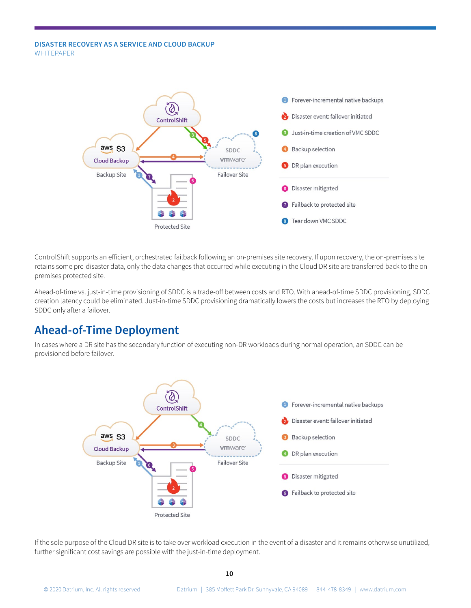

ControlShift supports an efficient, orchestrated failback following an on-premises site recovery. If upon recovery, the on-premises site retains some pre-disaster data, only the data changes that occurred while executing in the Cloud DR site are transferred back to the onpremises protected site.

Ahead-of-time vs. just-in-time provisioning of SDDC is a trade-off between costs and RTO. With ahead-of-time SDDC provisioning, SDDC creation latency could be eliminated. Just-in-time SDDC provisioning dramatically lowers the costs but increases the RTO by deploying SDDC only after a failover.

### **Ahead-of-Time Deployment**

In cases where a DR site has the secondary function of executing non-DR workloads during normal operation, an SDDC can be provisioned before failover.



If the sole purpose of the Cloud DR site is to take over workload execution in the event of a disaster and it remains otherwise unutilized, further significant cost savings are possible with the just-in-time deployment.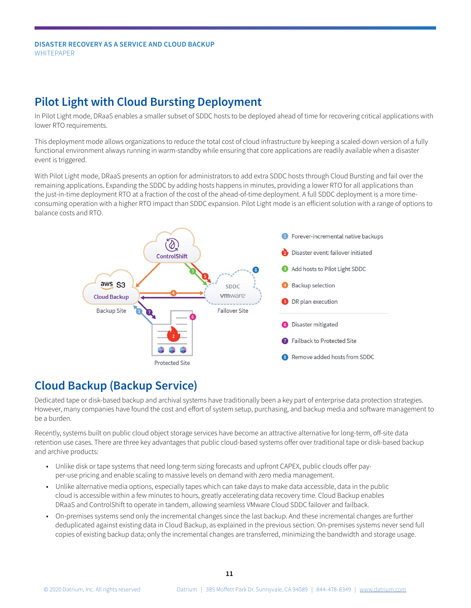## **Pilot Light with Cloud Bursting Deployment**

In Pilot Light mode, DRaaS enables a smaller subset of SDDC hosts to be deployed ahead of time for recovering critical applications with lower RTO requirements.

This deployment mode allows organizations to reduce the total cost of cloud infrastructure by keeping a scaled-down version of a fully functional environment always running in warm-standby while ensuring that core applications are readily available when a disaster event is triggered.

With Pilot Light mode, DRaaS presents an option for administrators to add extra SDDC hosts through Cloud Bursting and fail over the remaining applications. Expanding the SDDC by adding hosts happens in minutes, providing a lower RTO for all applications than the just-in-time deployment RTO at a fraction of the cost of the ahead-of-time deployment. A full SDDC deployment is a more timeconsuming operation with a higher RTO impact than SDDC expansion. Pilot Light mode is an efficient solution with a range of options to balance costs and RTO.



## **Cloud Backup (Backup Service)**

Dedicated tape or disk-based backup and archival systems have traditionally been a key part of enterprise data protection strategies. However, many companies have found the cost and effort of system setup, purchasing, and backup media and software management to be a burden.

Recently, systems built on public cloud object storage services have become an attractive alternative for long-term, off-site data retention use cases. There are three key advantages that public cloud-based systems offer over traditional tape or disk-based backup and archive products:

- Unlike disk or tape systems that need long-term sizing forecasts and upfront CAPEX, public clouds offer payper-use pricing and enable scaling to massive levels on demand with zero media management.
- Unlike alternative media options, especially tapes which can take days to make data accessible, data in the public cloud is accessible within a few minutes to hours, greatly accelerating data recovery time. Cloud Backup enables DRaaS and ControlShift to operate in tandem, allowing seamless VMware Cloud SDDC failover and failback.
- On-premises systems send only the incremental changes since the last backup. And these incremental changes are further deduplicated against existing data in Cloud Backup, as explained in the previous section. On-premises systems never send full copies of existing backup data; only the incremental changes are transferred, minimizing the bandwidth and storage usage.